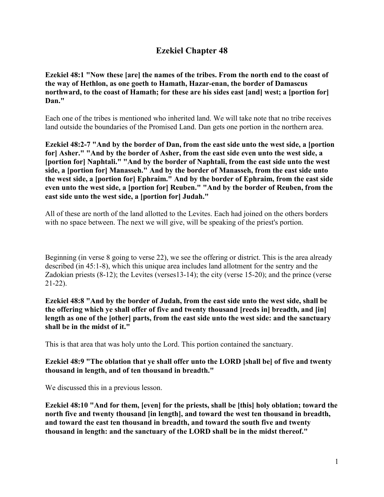# **Ezekiel Chapter 48**

**Ezekiel 48:1 "Now these [are] the names of the tribes. From the north end to the coast of the way of Hethlon, as one goeth to Hamath, Hazar-enan, the border of Damascus northward, to the coast of Hamath; for these are his sides east [and] west; a [portion for] Dan."**

Each one of the tribes is mentioned who inherited land. We will take note that no tribe receives land outside the boundaries of the Promised Land. Dan gets one portion in the northern area.

**Ezekiel 48:2-7 "And by the border of Dan, from the east side unto the west side, a [portion for] Asher." "And by the border of Asher, from the east side even unto the west side, a [portion for] Naphtali." "And by the border of Naphtali, from the east side unto the west side, a [portion for] Manasseh." And by the border of Manasseh, from the east side unto the west side, a [portion for] Ephraim." And by the border of Ephraim, from the east side even unto the west side, a [portion for] Reuben." "And by the border of Reuben, from the east side unto the west side, a [portion for] Judah."**

All of these are north of the land allotted to the Levites. Each had joined on the others borders with no space between. The next we will give, will be speaking of the priest's portion.

Beginning (in verse 8 going to verse 22), we see the offering or district. This is the area already described (in 45:1-8), which this unique area includes land allotment for the sentry and the Zadokian priests (8-12); the Levites (verses13-14); the city (verse 15-20); and the prince (verse 21-22).

**Ezekiel 48:8 "And by the border of Judah, from the east side unto the west side, shall be the offering which ye shall offer of five and twenty thousand [reeds in] breadth, and [in] length as one of the [other] parts, from the east side unto the west side: and the sanctuary shall be in the midst of it."**

This is that area that was holy unto the Lord. This portion contained the sanctuary.

#### **Ezekiel 48:9 "The oblation that ye shall offer unto the LORD [shall be] of five and twenty thousand in length, and of ten thousand in breadth."**

We discussed this in a previous lesson.

**Ezekiel 48:10 "And for them, [even] for the priests, shall be [this] holy oblation; toward the north five and twenty thousand [in length], and toward the west ten thousand in breadth, and toward the east ten thousand in breadth, and toward the south five and twenty thousand in length: and the sanctuary of the LORD shall be in the midst thereof."**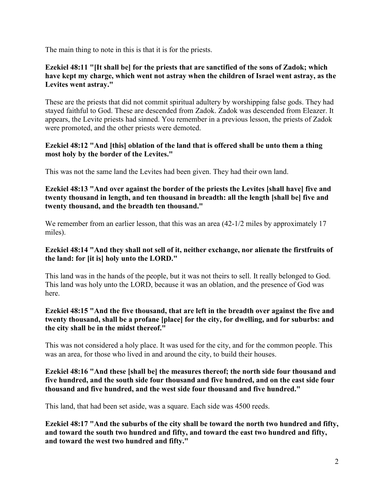The main thing to note in this is that it is for the priests.

#### **Ezekiel 48:11 "[It shall be] for the priests that are sanctified of the sons of Zadok; which have kept my charge, which went not astray when the children of Israel went astray, as the Levites went astray."**

These are the priests that did not commit spiritual adultery by worshipping false gods. They had stayed faithful to God. These are descended from Zadok. Zadok was descended from Eleazer. It appears, the Levite priests had sinned. You remember in a previous lesson, the priests of Zadok were promoted, and the other priests were demoted.

### **Ezekiel 48:12 "And [this] oblation of the land that is offered shall be unto them a thing most holy by the border of the Levites."**

This was not the same land the Levites had been given. They had their own land.

**Ezekiel 48:13 "And over against the border of the priests the Levites [shall have] five and twenty thousand in length, and ten thousand in breadth: all the length [shall be] five and twenty thousand, and the breadth ten thousand."**

We remember from an earlier lesson, that this was an area  $(42-1/2)$  miles by approximately 17 miles).

### **Ezekiel 48:14 "And they shall not sell of it, neither exchange, nor alienate the firstfruits of the land: for [it is] holy unto the LORD."**

This land was in the hands of the people, but it was not theirs to sell. It really belonged to God. This land was holy unto the LORD, because it was an oblation, and the presence of God was here.

### **Ezekiel 48:15 "And the five thousand, that are left in the breadth over against the five and twenty thousand, shall be a profane [place] for the city, for dwelling, and for suburbs: and the city shall be in the midst thereof."**

This was not considered a holy place. It was used for the city, and for the common people. This was an area, for those who lived in and around the city, to build their houses.

#### **Ezekiel 48:16 "And these [shall be] the measures thereof; the north side four thousand and five hundred, and the south side four thousand and five hundred, and on the east side four thousand and five hundred, and the west side four thousand and five hundred."**

This land, that had been set aside, was a square. Each side was 4500 reeds.

**Ezekiel 48:17 "And the suburbs of the city shall be toward the north two hundred and fifty, and toward the south two hundred and fifty, and toward the east two hundred and fifty, and toward the west two hundred and fifty."**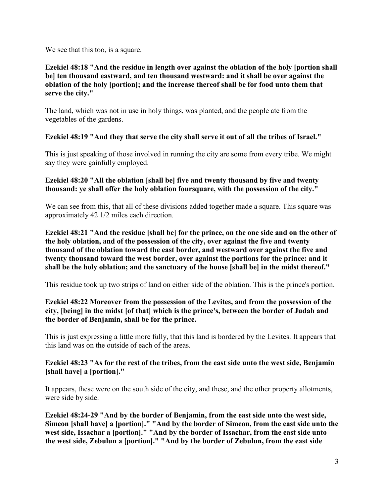We see that this too, is a square.

### **Ezekiel 48:18 "And the residue in length over against the oblation of the holy [portion shall be] ten thousand eastward, and ten thousand westward: and it shall be over against the oblation of the holy [portion]; and the increase thereof shall be for food unto them that serve the city."**

The land, which was not in use in holy things, was planted, and the people ate from the vegetables of the gardens.

# **Ezekiel 48:19 "And they that serve the city shall serve it out of all the tribes of Israel."**

This is just speaking of those involved in running the city are some from every tribe. We might say they were gainfully employed.

### **Ezekiel 48:20 "All the oblation [shall be] five and twenty thousand by five and twenty thousand: ye shall offer the holy oblation foursquare, with the possession of the city."**

We can see from this, that all of these divisions added together made a square. This square was approximately 42 1/2 miles each direction.

**Ezekiel 48:21 "And the residue [shall be] for the prince, on the one side and on the other of the holy oblation, and of the possession of the city, over against the five and twenty thousand of the oblation toward the east border, and westward over against the five and twenty thousand toward the west border, over against the portions for the prince: and it shall be the holy oblation; and the sanctuary of the house [shall be] in the midst thereof."**

This residue took up two strips of land on either side of the oblation. This is the prince's portion.

# **Ezekiel 48:22 Moreover from the possession of the Levites, and from the possession of the city, [being] in the midst [of that] which is the prince's, between the border of Judah and the border of Benjamin, shall be for the prince.**

This is just expressing a little more fully, that this land is bordered by the Levites. It appears that this land was on the outside of each of the areas.

# **Ezekiel 48:23 "As for the rest of the tribes, from the east side unto the west side, Benjamin [shall have] a [portion]."**

It appears, these were on the south side of the city, and these, and the other property allotments, were side by side.

**Ezekiel 48:24-29 "And by the border of Benjamin, from the east side unto the west side, Simeon [shall have] a [portion]." "And by the border of Simeon, from the east side unto the west side, Issachar a [portion]." "And by the border of Issachar, from the east side unto the west side, Zebulun a [portion]." "And by the border of Zebulun, from the east side**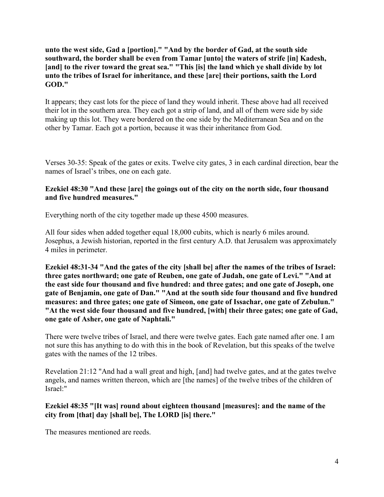### **unto the west side, Gad a [portion]." "And by the border of Gad, at the south side southward, the border shall be even from Tamar [unto] the waters of strife [in] Kadesh,**  [and] to the river toward the great sea." "This [is] the land which ye shall divide by lot **unto the tribes of Israel for inheritance, and these [are] their portions, saith the Lord GOD."**

It appears; they cast lots for the piece of land they would inherit. These above had all received their lot in the southern area. They each got a strip of land, and all of them were side by side making up this lot. They were bordered on the one side by the Mediterranean Sea and on the other by Tamar. Each got a portion, because it was their inheritance from God.

Verses 30-35: Speak of the gates or exits. Twelve city gates, 3 in each cardinal direction, bear the names of Israel's tribes, one on each gate.

### **Ezekiel 48:30 "And these [are] the goings out of the city on the north side, four thousand and five hundred measures."**

Everything north of the city together made up these 4500 measures.

All four sides when added together equal 18,000 cubits, which is nearly 6 miles around. Josephus, a Jewish historian, reported in the first century A.D. that Jerusalem was approximately 4 miles in perimeter.

**Ezekiel 48:31-34 "And the gates of the city [shall be] after the names of the tribes of Israel: three gates northward; one gate of Reuben, one gate of Judah, one gate of Levi." "And at the east side four thousand and five hundred: and three gates; and one gate of Joseph, one gate of Benjamin, one gate of Dan." "And at the south side four thousand and five hundred measures: and three gates; one gate of Simeon, one gate of Issachar, one gate of Zebulun." "At the west side four thousand and five hundred, [with] their three gates; one gate of Gad, one gate of Asher, one gate of Naphtali."**

There were twelve tribes of Israel, and there were twelve gates. Each gate named after one. I am not sure this has anything to do with this in the book of Revelation, but this speaks of the twelve gates with the names of the 12 tribes.

Revelation 21:12 "And had a wall great and high, [and] had twelve gates, and at the gates twelve angels, and names written thereon, which are [the names] of the twelve tribes of the children of Israel:"

### **Ezekiel 48:35 "[It was] round about eighteen thousand [measures]: and the name of the city from [that] day [shall be], The LORD [is] there."**

The measures mentioned are reeds.